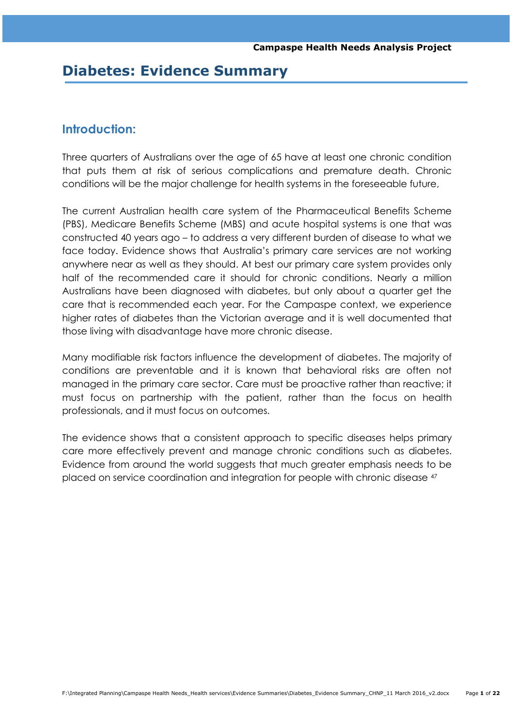# **Diabetes: Evidence Summary**

# **Introduction:**

Three quarters of Australians over the age of 65 have at least one chronic condition that puts them at risk of serious complications and premature death. Chronic conditions will be the major challenge for health systems in the foreseeable future,

The current Australian health care system of the Pharmaceutical Benefits Scheme (PBS), Medicare Benefits Scheme (MBS) and acute hospital systems is one that was constructed 40 years ago – to address a very different burden of disease to what we face today. Evidence shows that Australia"s primary care services are not working anywhere near as well as they should. At best our primary care system provides only half of the recommended care it should for chronic conditions. Nearly a million Australians have been diagnosed with diabetes, but only about a quarter get the care that is recommended each year. For the Campaspe context, we experience higher rates of diabetes than the Victorian average and it is well documented that those living with disadvantage have more chronic disease.

Many modifiable risk factors influence the development of diabetes. The majority of conditions are preventable and it is known that behavioral risks are often not managed in the primary care sector. Care must be proactive rather than reactive; it must focus on partnership with the patient, rather than the focus on health professionals, and it must focus on outcomes.

The evidence shows that a consistent approach to specific diseases helps primary care more effectively prevent and manage chronic conditions such as diabetes. Evidence from around the world suggests that much greater emphasis needs to be placed on service coordination and integration for people with chronic disease <sup>47</sup>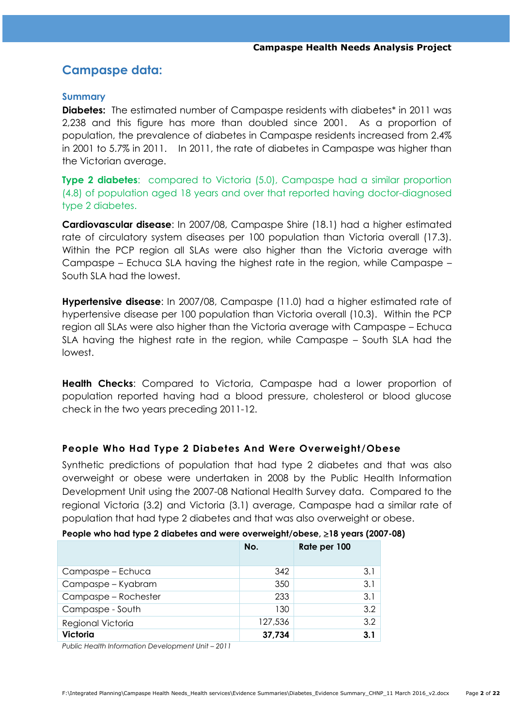# **Campaspe data:**

#### **Summary**

**Diabetes:** The estimated number of Campaspe residents with diabetes<sup>\*</sup> in 2011 was 2,238 and this figure has more than doubled since 2001. As a proportion of population, the prevalence of diabetes in Campaspe residents increased from 2.4% in 2001 to 5.7% in 2011. In 2011, the rate of diabetes in Campaspe was higher than the Victorian average.

**Type 2 diabetes**: compared to Victoria (5.0), Campaspe had a similar proportion (4.8) of population aged 18 years and over that reported having doctor-diagnosed type 2 diabetes.

**Cardiovascular disease**: In 2007/08, Campaspe Shire (18.1) had a higher estimated rate of circulatory system diseases per 100 population than Victoria overall (17.3). Within the PCP region all SLAs were also higher than the Victoria average with Campaspe – Echuca SLA having the highest rate in the region, while Campaspe – South SLA had the lowest.

**Hypertensive disease**: In 2007/08, Campaspe (11.0) had a higher estimated rate of hypertensive disease per 100 population than Victoria overall (10.3). Within the PCP region all SLAs were also higher than the Victoria average with Campaspe – Echuca SLA having the highest rate in the region, while Campaspe – South SLA had the lowest.

**Health Checks**: Compared to Victoria, Campaspe had a lower proportion of population reported having had a blood pressure, cholesterol or blood glucose check in the two years preceding 2011-12.

#### **People Who Had Type 2 Diabetes And Were Overweight/Obese**

Synthetic predictions of population that had type 2 diabetes and that was also overweight or obese were undertaken in 2008 by the Public Health Information Development Unit using the 2007-08 National Health Survey data. Compared to the regional Victoria (3.2) and Victoria (3.1) average, Campaspe had a similar rate of population that had type 2 diabetes and that was also overweight or obese.

|                      | No.     | Rate per 100 |
|----------------------|---------|--------------|
| Campaspe – Echuca    | 342     | 3.1          |
| Campaspe - Kyabram   | 350     | 3.1          |
| Campaspe – Rochester | 233     | 3.1          |
| Campaspe - South     | 130     | 3.2          |
| Regional Victoria    | 127,536 | 3.2          |
| <b>Victoria</b>      | 37,734  | 3.1          |

#### **People who had type 2 diabetes and were overweight/obese, 18 years (2007-08)**

*Public Health Information Development Unit - 2011*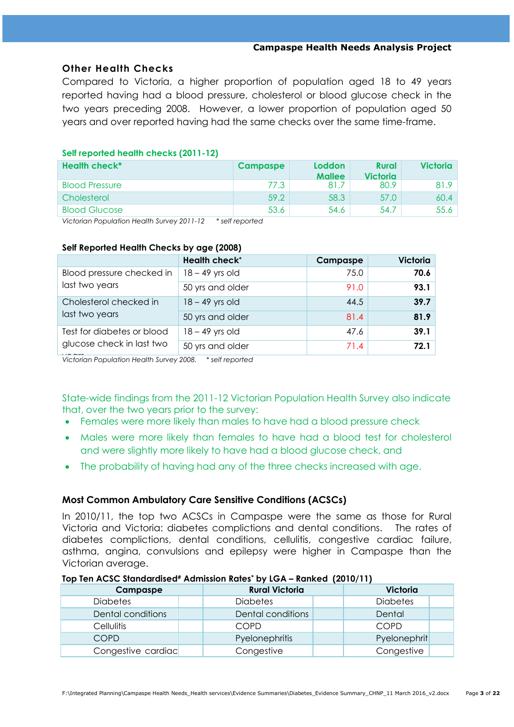## **Other Health Checks**

Compared to Victoria, a higher proportion of population aged 18 to 49 years reported having had a blood pressure, cholesterol or blood glucose check in the two years preceding 2008. However, a lower proportion of population aged 50 years and over reported having had the same checks over the same time-frame.

### **Self reported health checks (2011-12)**

| Health check*         | <b>Campaspe</b> | <b>Loddon</b><br><b>Mallee</b> | <b>Rural</b><br>Victoria | <b>Victoria</b> |
|-----------------------|-----------------|--------------------------------|--------------------------|-----------------|
| <b>Blood Pressure</b> | 77.3            | 81.7                           | 80.9                     | 81.9            |
| Cholesterol           | 59.2            | 58.3                           | 57.0                     | 60.4            |
| <b>Blood Glucose</b>  | 53.6            | 54.6                           | 54.7                     | 55.6            |

*Victorian Population Health Survey 2011-12 \* self reported*

|                                                         | <b>Health check*</b> | Campaspe | <b>Victoria</b> |
|---------------------------------------------------------|----------------------|----------|-----------------|
| Blood pressure checked in<br>last two years             | $18 - 49$ yrs old    | 75.0     | 70.6            |
|                                                         | 50 yrs and older     | 91.0     | 93.1            |
| Cholesterol checked in<br>last two years                | $18 - 49$ yrs old    | 44.5     | 39.7            |
|                                                         | 50 yrs and older     | 81.4     | 81.9            |
| Test for diabetes or blood<br>glucose check in last two | $18 - 49$ yrs old    | 47.6     | 39.1            |
|                                                         | 50 yrs and older     | 71.4     | 72.1            |

#### **Self Reported Health Checks by age (2008)**

years *Victorian Population Health Survey 2008. \* self reported*

State-wide findings from the 2011-12 Victorian Population Health Survey also indicate that, over the two years prior to the survey:

- Females were more likely than males to have had a blood pressure check
- Males were more likely than females to have had a blood test for cholesterol and were slightly more likely to have had a blood glucose check, and
- The probability of having had any of the three checks increased with age.

## **Most Common Ambulatory Care Sensitive Conditions (ACSCs)**

In 2010/11, the top two ACSCs in Campaspe were the same as those for Rural Victoria and Victoria: diabetes complictions and dental conditions. The rates of diabetes complictions, dental conditions, cellulitis, congestive cardiac failure, asthma, angina, convulsions and epilepsy were higher in Campaspe than the Victorian average.

#### **Top Ten ACSC Standardised# Admission Rates\* by LGA – Ranked (2010/11)**

| Campaspe           | <b>Rural Victoria</b> | <b>Victoria</b> |
|--------------------|-----------------------|-----------------|
| <b>Diabetes</b>    | <b>Diabetes</b>       | <b>Diabetes</b> |
| Dental conditions  | Dental conditions     | Dental          |
| <b>Cellulitis</b>  | COPD                  | COPD            |
| COPD               | Pyelonephritis        | Pyelonephrit    |
| Congestive cardiac | Congestive            | Congestive      |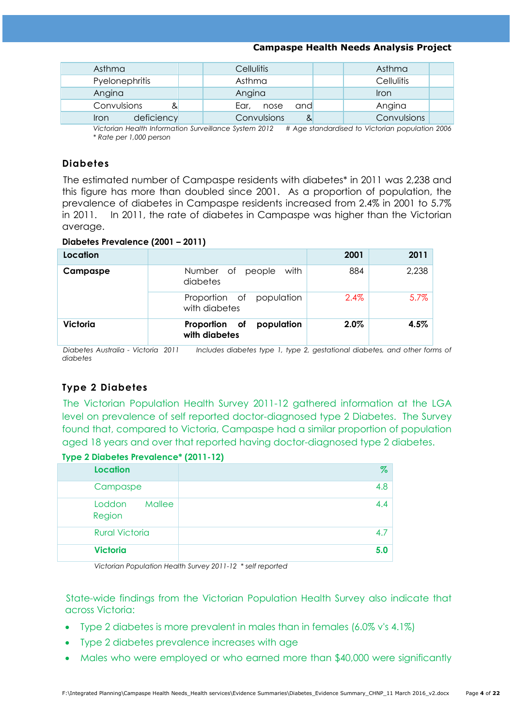| Asthma             | <b>Cellulitis</b>   | Asthma            |
|--------------------|---------------------|-------------------|
| Pyelonephritis     | Asthma              | <b>Cellulitis</b> |
| Angina             | Angina              | Iron              |
| Convulsions<br>&   | Ear,<br>and<br>nose | Angina            |
| deficiency<br>Iron | Convulsions<br>&    | Convulsions       |

7 1 8 6 anaemia . epilepsy . & epilepsy *Victorian Health Information Surveillance System 2012 # Age standardised to Victorian population 2006 \* Rate per 1,000 person*

## **Diabetes**

The estimated number of Campaspe residents with diabetes\* in 2011 was 2,238 and this figure has more than doubled since 2001. As a proportion of population, the prevalence of diabetes in Campaspe residents increased from 2.4% in 2001 to 5.7% in 2011. In 2011, the rate of diabetes in Campaspe was higher than the Victorian average.

#### **Diabetes Prevalence (2001 – 2011)**

| Location |                                              | 2001    | 2011  |
|----------|----------------------------------------------|---------|-------|
| Campaspe | Number of people<br>with<br>diabetes         | 884     | 2,238 |
|          | Proportion of population<br>with diabetes    | $2.4\%$ | 5.7%  |
| Victoria | Proportion of<br>population<br>with diabetes | $2.0\%$ | 4.5%  |

*Diabetes Australia - Victoria 2011 Includes diabetes type 1, type 2, gestational diabetes, and other forms of diabetes*

## **Type 2 Diabetes**

The Victorian Population Health Survey 2011-12 gathered information at the LGA level on prevalence of self reported doctor-diagnosed type 2 Diabetes. The Survey found that, compared to Victoria, Campaspe had a similar proportion of population aged 18 years and over that reported having doctor-diagnosed type 2 diabetes.

#### **Type 2 Diabetes Prevalence\* (2011-12)**

| Location                   | $\%$ |
|----------------------------|------|
| Campaspe                   | 4.8  |
| Mallee<br>Loddon<br>Region | 4.4  |
| <b>Rural Victoria</b>      | 4.7  |
| <b>Victoria</b>            | 5.0  |

*Victorian Population Health Survey 2011-12 \* self reported* 

State-wide findings from the Victorian Population Health Survey also indicate that across Victoria:

- Type 2 diabetes is more prevalent in males than in females (6.0% v's 4.1%)
- Type 2 diabetes prevalence increases with age
- Males who were employed or who earned more than \$40,000 were significantly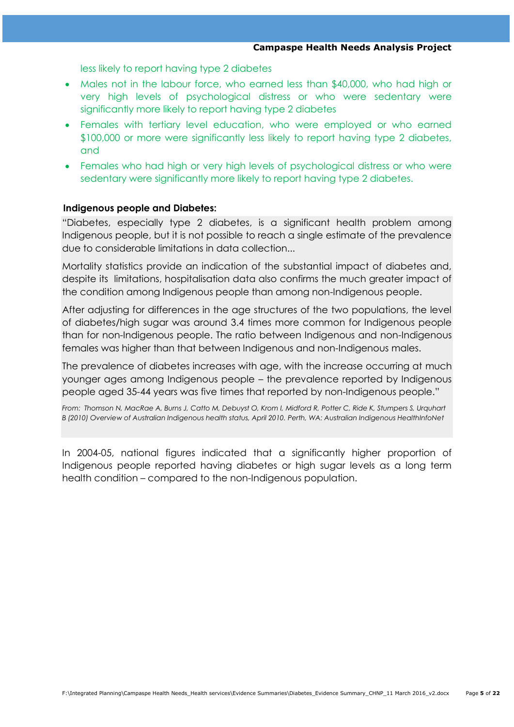less likely to report having type 2 diabetes

- Males not in the labour force, who earned less than \$40,000, who had high or very high levels of psychological distress or who were sedentary were significantly more likely to report having type 2 diabetes
- Females with tertiary level education, who were employed or who earned \$100,000 or more were significantly less likely to report having type 2 diabetes, and
- Females who had high or very high levels of psychological distress or who were sedentary were significantly more likely to report having type 2 diabetes.

#### **Indigenous people and Diabetes:**

"Diabetes, especially type 2 diabetes, is a significant health problem among Indigenous people, but it is not possible to reach a single estimate of the prevalence due to considerable limitations in data collection...

Mortality statistics provide an indication of the substantial impact of diabetes and, despite its limitations, hospitalisation data also confirms the much greater impact of the condition among Indigenous people than among non-Indigenous people.

After adjusting for differences in the age structures of the two populations, the level of diabetes/high sugar was around 3.4 times more common for Indigenous people than for non-Indigenous people. The ratio between Indigenous and non-Indigenous females was higher than that between Indigenous and non-Indigenous males.

The prevalence of diabetes increases with age, with the increase occurring at much younger ages among Indigenous people – the prevalence reported by Indigenous people aged 35-44 years was five times that reported by non-Indigenous people."

*From: Thomson N, MacRae A, Burns J, Catto M, Debuyst O, Krom I, Midford R, Potter C, Ride K, Stumpers S, Urquhart B (2010) Overview of Australian Indigenous health status, April 2010. Perth, WA: Australian Indigenous HealthInfoNet*

In 2004-05, national figures indicated that a significantly higher proportion of Indigenous people reported having diabetes or high sugar levels as a long term health condition – compared to the non-Indigenous population.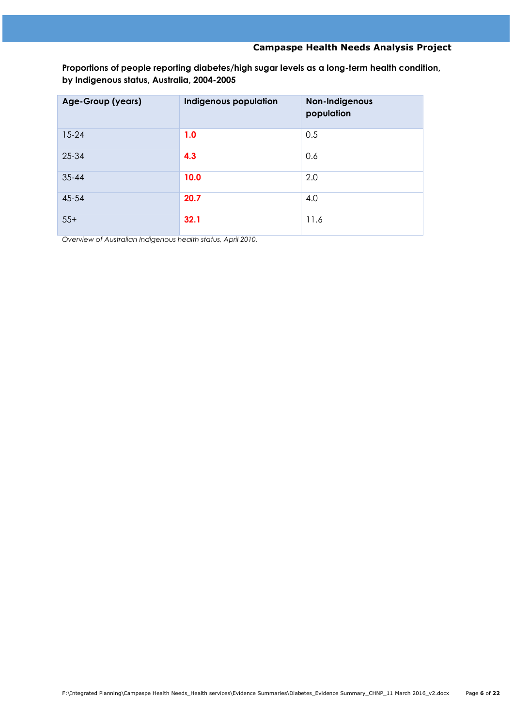**Proportions of people reporting diabetes/high sugar levels as a long-term health condition, by Indigenous status, Australia, 2004-2005**

| Age-Group (years) | Indigenous population | Non-Indigenous<br>population |
|-------------------|-----------------------|------------------------------|
| $15 - 24$         | 1.0                   | 0.5                          |
| 25-34             | 4.3                   | 0.6                          |
| $35 - 44$         | 10.0                  | 2.0                          |
| 45-54             | 20.7                  | 4.0                          |
| $55+$             | 32.1                  | 11.6                         |

*Overview of Australian Indigenous health status, April 2010.*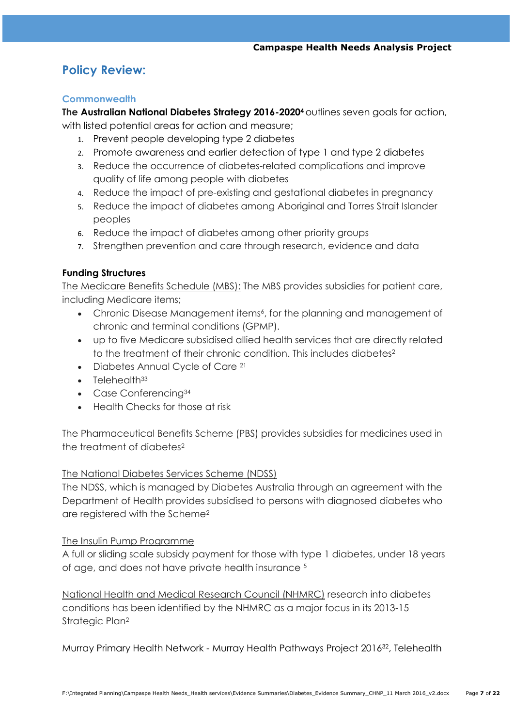# **Policy Review:**

## **Commonwealth**

**The Australian National Diabetes Strategy 2016-2020<sup>4</sup>** outlines seven goals for action, with listed potential areas for action and measure;

- 1. Prevent people developing type 2 diabetes
- 2. Promote awareness and earlier detection of type 1 and type 2 diabetes
- 3. Reduce the occurrence of diabetes-related complications and improve quality of life among people with diabetes
- 4. Reduce the impact of pre-existing and gestational diabetes in pregnancy
- 5. Reduce the impact of diabetes among Aboriginal and Torres Strait Islander peoples
- 6. Reduce the impact of diabetes among other priority groups
- 7. Strengthen prevention and care through research, evidence and data

## **Funding Structures**

The Medicare Benefits Schedule (MBS): The MBS provides subsidies for patient care, including Medicare items;

- Chronic Disease Management items<sup>6</sup>, for the planning and management of chronic and terminal conditions (GPMP).
- up to five Medicare subsidised allied health services that are directly related to the treatment of their chronic condition. This includes diabetes<sup>2</sup>
- Diabetes Annual Cycle of Care<sup>21</sup>
- $\bullet$  Telehealth $33$
- Case Conferencing<sup>34</sup>
- Health Checks for those at risk

The Pharmaceutical Benefits Scheme (PBS) provides subsidies for medicines used in the treatment of diabetes<sup>2</sup>

## The National Diabetes Services Scheme (NDSS)

The NDSS, which is managed by Diabetes Australia through an agreement with the Department of Health provides subsidised to persons with diagnosed diabetes who are registered with the Scheme<sup>2</sup>

#### The Insulin Pump Programme

A full or sliding scale subsidy payment for those with type 1 diabetes, under 18 years of age, and does not have private health insurance <sup>5</sup>

National Health and Medical Research Council (NHMRC) research into diabetes conditions has been identified by the NHMRC as a major focus in its 2013-15 Strategic Plan<sup>2</sup>

Murray Primary Health Network - Murray Health Pathways Project 201632, Telehealth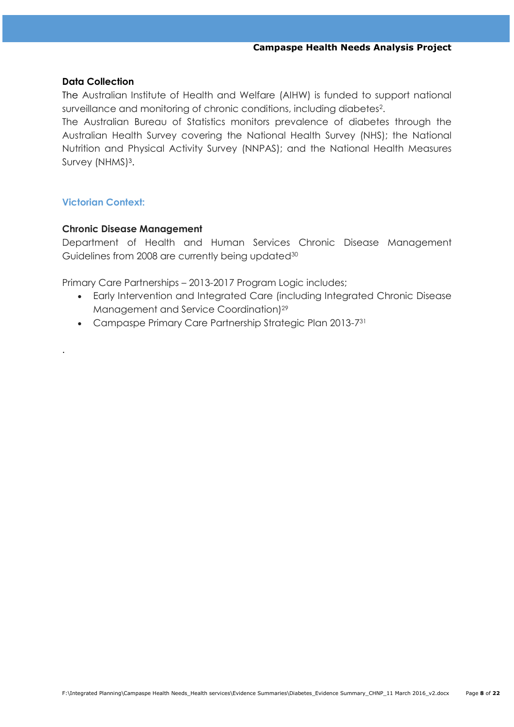#### **Data Collection**

The Australian Institute of Health and Welfare (AIHW) is funded to support national surveillance and monitoring of chronic conditions, including diabetes<sup>2</sup>.

The Australian Bureau of Statistics monitors prevalence of diabetes through the Australian Health Survey covering the National Health Survey (NHS); the National Nutrition and Physical Activity Survey (NNPAS); and the National Health Measures Survey (NHMS)<sup>3</sup>.

## **Victorian Context:**

.

## **Chronic Disease Management**

Department of Health and Human Services Chronic Disease Management Guidelines from 2008 are currently being updated<sup>30</sup>

Primary Care Partnerships – 2013-2017 Program Logic includes;

- Early Intervention and Integrated Care (including Integrated Chronic Disease Management and Service Coordination)<sup>29</sup>
- Campaspe Primary Care Partnership Strategic Plan 2013-731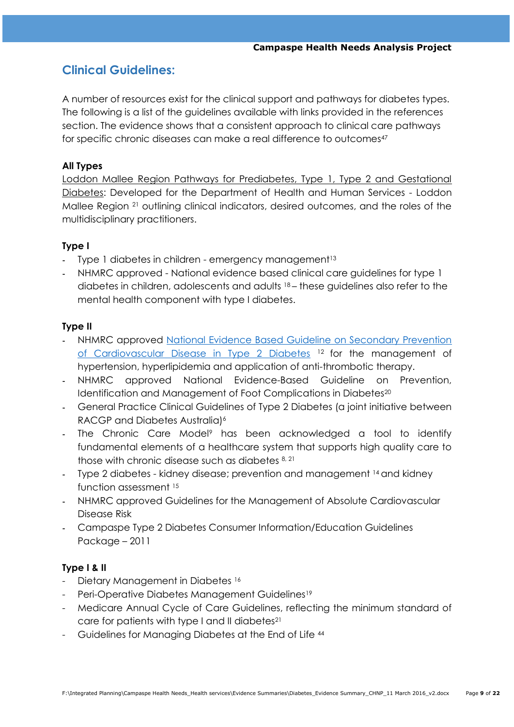# **Clinical Guidelines:**

A number of resources exist for the clinical support and pathways for diabetes types. The following is a list of the guidelines available with links provided in the references section. The evidence shows that a consistent approach to clinical care pathways for specific chronic diseases can make a real difference to outcomes<sup>47</sup>

## **All Types**

Loddon Mallee Region Pathways for Prediabetes, Type 1, Type 2 and Gestational Diabetes: Developed for the Department of Health and Human Services - Loddon Mallee Region <sup>21</sup> outlining clinical indicators, desired outcomes, and the roles of the multidisciplinary practitioners.

## **Type I**

- Type 1 diabetes in children emergency management<sup>13</sup>
- NHMRC approved National evidence based clinical care guidelines for type 1 diabetes in children, adolescents and adults 18 – these guidelines also refer to the mental health component with type I diabetes.

## **Type II**

- NHMRC approved National Evidence Based Guideline on Secondary Prevention [of Cardiovascular Disease in Type 2 Diabetes](https://www.clinicalguidelines.gov.au/portal/2502/national-evidence-based-guideline-secondary-prevention-cardiovascular-disease-type-2) <sup>12</sup> for the management of hypertension, hyperlipidemia and application of anti-thrombotic therapy.
- NHMRC approved National Evidence-Based Guideline on Prevention, Identification and Management of Foot Complications in Diabetes<sup>20</sup>
- General Practice Clinical Guidelines of Type 2 Diabetes (a joint initiative between RACGP and Diabetes Australia)<sup>6</sup>
- The Chronic Care Model<sup>9</sup> has been acknowledged a tool to identify fundamental elements of a healthcare system that supports high quality care to those with chronic disease such as diabetes 8, 21
- Type 2 diabetes kidney disease; prevention and management <sup>14</sup> and kidney function assessment <sup>15</sup>
- NHMRC approved Guidelines for the Management of Absolute Cardiovascular Disease Risk
- Campaspe Type 2 Diabetes Consumer Information/Education Guidelines Package – 2011

## **Type I & II**

- Dietary Management in Diabetes 16
- Peri-Operative Diabetes Management Guidelines<sup>19</sup>
- Medicare Annual Cycle of Care Guidelines, reflecting the minimum standard of care for patients with type I and II diabetes<sup>21</sup>
- Guidelines for Managing Diabetes at the End of Life <sup>44</sup>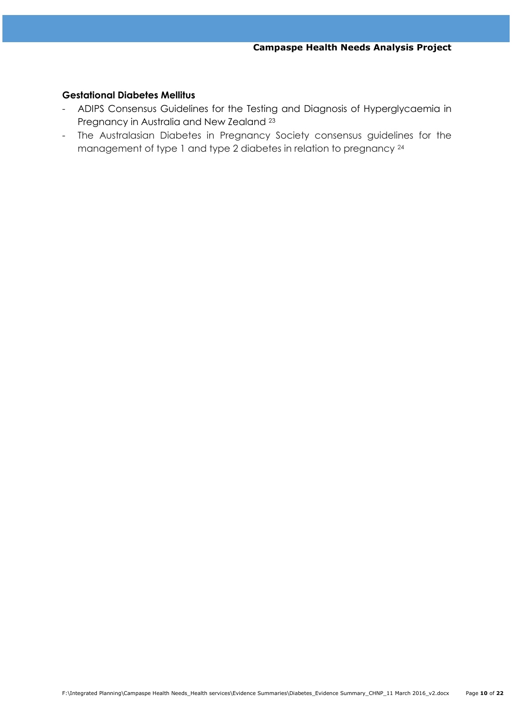### **Gestational Diabetes Mellitus**

- ADIPS Consensus Guidelines for the Testing and Diagnosis of Hyperglycaemia in Pregnancy in Australia and New Zealand <sup>23</sup>
- The Australasian Diabetes in Pregnancy Society consensus guidelines for the management of type 1 and type 2 diabetes in relation to pregnancy  $24$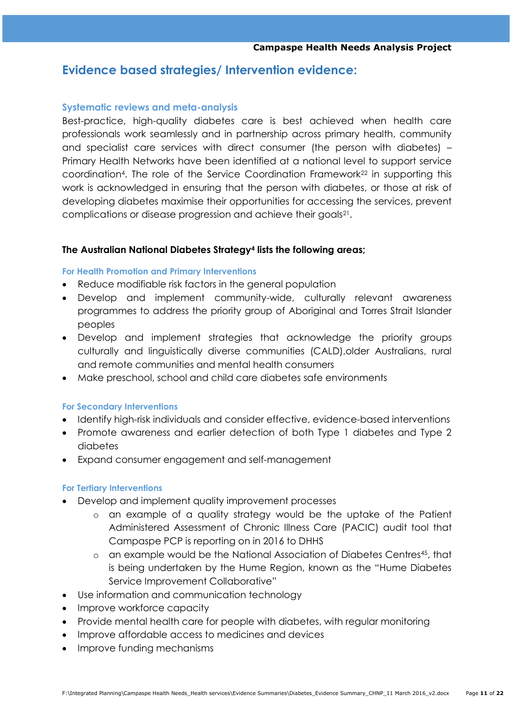# **Evidence based strategies/ Intervention evidence:**

### **Systematic reviews and meta-analysis**

Best-practice, high-quality diabetes care is best achieved when health care professionals work seamlessly and in partnership across primary health, community and specialist care services with direct consumer (the person with diabetes) – Primary Health Networks have been identified at a national level to support service coordination<sup>4</sup>. The role of the Service Coordination Framework<sup>22</sup> in supporting this work is acknowledged in ensuring that the person with diabetes, or those at risk of developing diabetes maximise their opportunities for accessing the services, prevent complications or disease progression and achieve their goals<sup>21</sup>.

#### **The Australian National Diabetes Strategy<sup>4</sup> lists the following areas;**

#### **For Health Promotion and Primary Interventions**

- Reduce modifiable risk factors in the general population
- Develop and implement community-wide, culturally relevant awareness programmes to address the priority group of Aboriginal and Torres Strait Islander peoples
- Develop and implement strategies that acknowledge the priority groups culturally and linguistically diverse communities (CALD),older Australians, rural and remote communities and mental health consumers
- Make preschool, school and child care diabetes safe environments

#### **For Secondary Interventions**

- Identify high-risk individuals and consider effective, evidence-based interventions
- Promote awareness and earlier detection of both Type 1 diabetes and Type 2 diabetes
- Expand consumer engagement and self-management

#### **For Tertiary Interventions**

- Develop and implement quality improvement processes
	- o an example of a quality strategy would be the uptake of the Patient Administered Assessment of Chronic Illness Care (PACIC) audit tool that Campaspe PCP is reporting on in 2016 to DHHS
	- o an example would be the National Association of Diabetes Centres45, that is being undertaken by the Hume Region, known as the "Hume Diabetes Service Improvement Collaborative"
- Use information and communication technology
- Improve workforce capacity
- Provide mental health care for people with diabetes, with regular monitoring
- Improve affordable access to medicines and devices
- Improve funding mechanisms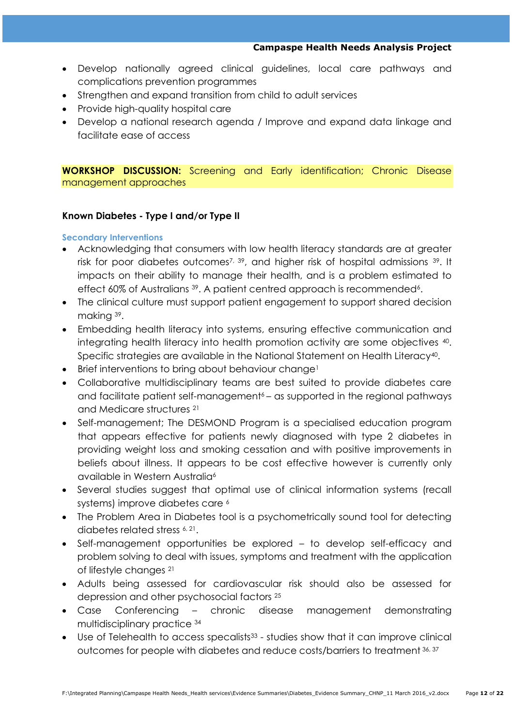- Develop nationally agreed clinical guidelines, local care pathways and complications prevention programmes
- Strengthen and expand transition from child to adult services
- Provide high-quality hospital care
- Develop a national research agenda / Improve and expand data linkage and facilitate ease of access

**WORKSHOP DISCUSSION:** Screening and Early identification; Chronic Disease management approaches

## **Known Diabetes - Type I and/or Type II**

#### **Secondary Interventions**

- Acknowledging that consumers with low health literacy standards are at greater risk for poor diabetes outcomes<sup>7, 39</sup>, and higher risk of hospital admissions <sup>39</sup>. It impacts on their ability to manage their health, and is a problem estimated to effect 60% of Australians <sup>39</sup>. A patient centred approach is recommended<sup>6</sup>.
- The clinical culture must support patient engagement to support shared decision making 39.
- Embedding health literacy into systems, ensuring effective communication and integrating health literacy into health promotion activity are some objectives <sup>40</sup> . Specific strategies are available in the National Statement on Health Literacy<sup>40</sup>.
- Brief interventions to bring about behaviour change<sup>1</sup>
- Collaborative multidisciplinary teams are best suited to provide diabetes care and facilitate patient self-management<sup>6</sup> – as supported in the regional pathways and Medicare structures <sup>21</sup>
- Self-management; The DESMOND Program is a specialised education program that appears effective for patients newly diagnosed with type 2 diabetes in providing weight loss and smoking cessation and with positive improvements in beliefs about illness. It appears to be cost effective however is currently only available in Western Australia<sup>6</sup>
- Several studies suggest that optimal use of clinical information systems (recall systems) improve diabetes care <sup>6</sup>
- The Problem Area in Diabetes tool is a psychometrically sound tool for detecting diabetes related stress 6, 21 .
- Self-management opportunities be explored to develop self-efficacy and problem solving to deal with issues, symptoms and treatment with the application of lifestyle changes <sup>21</sup>
- Adults being assessed for cardiovascular risk should also be assessed for depression and other psychosocial factors <sup>25</sup>
- Case Conferencing chronic disease management demonstrating multidisciplinary practice <sup>34</sup>
- Use of Telehealth to access specalists<sup>33</sup> studies show that it can improve clinical outcomes for people with diabetes and reduce costs/barriers to treatment 36, 37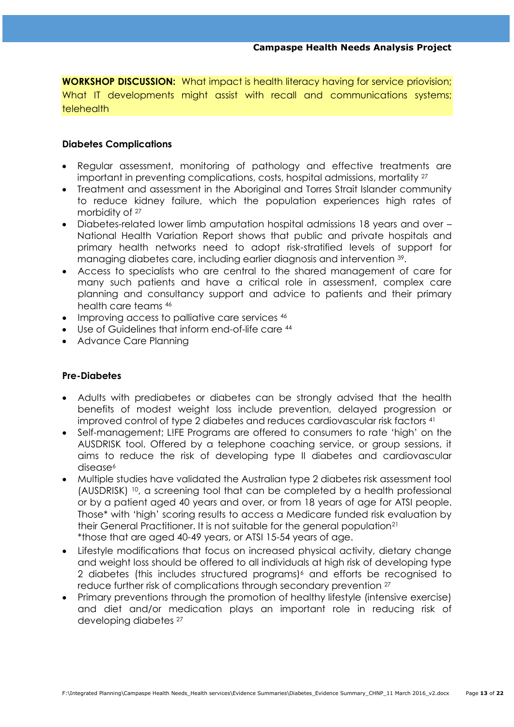**WORKSHOP DISCUSSION:** What impact is health literacy having for service priovision; What IT developments might assist with recall and communications systems; telehealth

## **Diabetes Complications**

- Regular assessment, monitoring of pathology and effective treatments are important in preventing complications, costs, hospital admissions, mortality <sup>27</sup>
- Treatment and assessment in the Aboriginal and Torres Strait Islander community to reduce kidney failure, which the population experiences high rates of morbidity of <sup>27</sup>
- Diabetes-related lower limb amputation hospital admissions 18 years and over National Health Variation Report shows that public and private hospitals and primary health networks need to adopt risk-stratified levels of support for managing diabetes care, including earlier diagnosis and intervention <sup>39</sup> .
- Access to specialists who are central to the shared management of care for many such patients and have a critical role in assessment, complex care planning and consultancy support and advice to patients and their primary health care teams <sup>46</sup>
- Improving access to palliative care services 46
- Use of Guidelines that inform end-of-life care 44
- Advance Care Planning

#### **Pre-Diabetes**

- Adults with prediabetes or diabetes can be strongly advised that the health benefits of modest weight loss include prevention, delayed progression or improved control of type 2 diabetes and reduces cardiovascular risk factors <sup>41</sup>
- Self-management; L!FE Programs are offered to consumers to rate "high" on the AUSDRISK tool. Offered by a telephone coaching service, or group sessions, it aims to reduce the risk of developing type II diabetes and cardiovascular disease<sup>6</sup>
- Multiple studies have validated the Australian type 2 diabetes risk assessment tool (AUSDRISK) 10, a screening tool that can be completed by a health professional or by a patient aged 40 years and over, or from 18 years of age for ATSI people. Those\* with "high" scoring results to access a Medicare funded risk evaluation by their General Practitioner. It is not suitable for the general population<sup>21</sup> \*those that are aged 40-49 years, or ATSI 15-54 years of age.
- Lifestyle modifications that focus on increased physical activity, dietary change and weight loss should be offered to all individuals at high risk of developing type 2 diabetes (this includes structured programs)<sup>6</sup> and efforts be recognised to reduce further risk of complications through secondary prevention <sup>27</sup>
- Primary preventions through the promotion of healthy lifestyle (intensive exercise) and diet and/or medication plays an important role in reducing risk of developing diabetes 27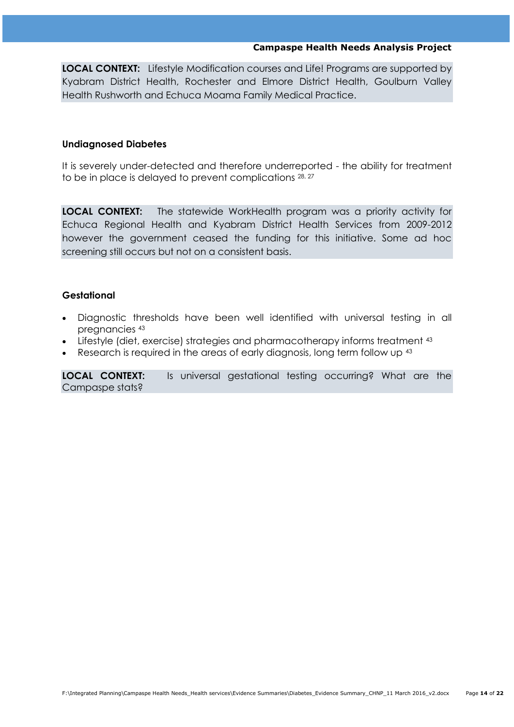**LOCAL CONTEXT:** Lifestyle Modification courses and Life! Programs are supported by Kyabram District Health, Rochester and Elmore District Health, Goulburn Valley Health Rushworth and Echuca Moama Family Medical Practice.

#### **Undiagnosed Diabetes**

It is severely under-detected and therefore underreported - the ability for treatment to be in place is delayed to prevent complications  $28, 27$ 

**LOCAL CONTEXT:** The statewide WorkHealth program was a priority activity for Echuca Regional Health and Kyabram District Health Services from 2009-2012 however the government ceased the funding for this initiative. Some ad hoc screening still occurs but not on a consistent basis.

#### **Gestational**

- Diagnostic thresholds have been well identified with universal testing in all pregnancies <sup>43</sup>
- Lifestyle (diet, exercise) strategies and pharmacotherapy informs treatment <sup>43</sup>
- Research is required in the areas of early diagnosis, long term follow up <sup>43</sup>

**LOCAL CONTEXT:** Is universal gestational testing occurring? What are the Campaspe stats?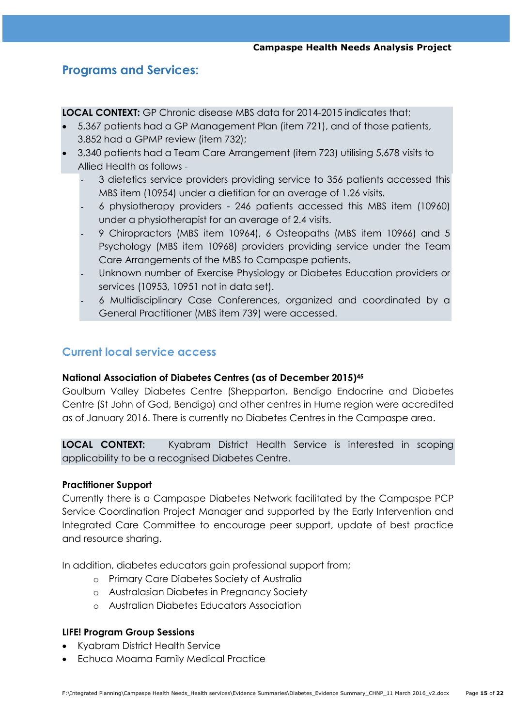# **Programs and Services:**

**LOCAL CONTEXT:** GP Chronic disease MBS data for 2014-2015 indicates that;

- 5,367 patients had a GP Management Plan (item 721), and of those patients, 3,852 had a GPMP review (item 732);
- 3,340 patients had a Team Care Arrangement (item 723) utilising 5,678 visits to Allied Health as follows -
	- 3 dietetics service providers providing service to 356 patients accessed this MBS item (10954) under a dietitian for an average of 1.26 visits.
	- 6 physiotherapy providers 246 patients accessed this MBS item (10960) under a physiotherapist for an average of 2.4 visits.
	- 9 Chiropractors (MBS item 10964), 6 Osteopaths (MBS item 10966) and 5 Psychology (MBS item 10968) providers providing service under the Team Care Arrangements of the MBS to Campaspe patients.
	- Unknown number of Exercise Physiology or Diabetes Education providers or services (10953, 10951 not in data set).
	- 6 Multidisciplinary Case Conferences, organized and coordinated by a General Practitioner (MBS item 739) were accessed.

## **Current local service access**

## **National Association of Diabetes Centres (as of December 2015)<sup>45</sup>**

Goulburn Valley Diabetes Centre (Shepparton, Bendigo Endocrine and Diabetes Centre (St John of God, Bendigo) and other centres in Hume region were accredited as of January 2016. There is currently no Diabetes Centres in the Campaspe area.

**LOCAL CONTEXT:** Kyabram District Health Service is interested in scoping applicability to be a recognised Diabetes Centre.

## **Practitioner Support**

Currently there is a Campaspe Diabetes Network facilitated by the Campaspe PCP Service Coordination Project Manager and supported by the Early Intervention and Integrated Care Committee to encourage peer support, update of best practice and resource sharing.

In addition, diabetes educators gain professional support from;

- o Primary Care Diabetes Society of Australia
- o Australasian Diabetes in Pregnancy Society
- o Australian Diabetes Educators Association

## **LIFE! Program Group Sessions**

- Kyabram District Health Service
- Echuca Moama Family Medical Practice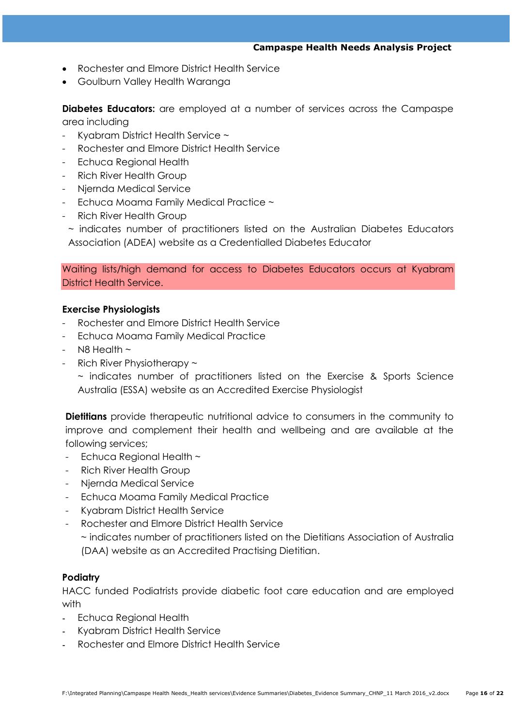- Rochester and Elmore District Health Service
- Goulburn Valley Health Waranga

**Diabetes Educators:** are employed at a number of services across the Campaspe area including

- Kyabram District Health Service ~
- Rochester and Elmore District Health Service
- Echuca Regional Health
- Rich River Health Group
- Njernda Medical Service
- Echuca Moama Family Medical Practice ~
- Rich River Health Group

~ indicates number of practitioners listed on the [Australian Diabetes Educators](http://www.adea.com.au/)  [Association \(ADEA\) website](http://www.adea.com.au/) as a Credentialled Diabetes Educator

Waiting lists/high demand for access to Diabetes Educators occurs at Kyabram District Health Service.

#### **Exercise Physiologists**

- Rochester and Elmore District Health Service
- Echuca Moama Family Medical Practice
- $-$  N8 Health  $\sim$
- Rich River Physiotherapy  $\sim$

~ indicates number of practitioners listed on the [Exercise & Sports Science](http://www.daa.asn.au/)  [Australia \(ESSA\) website](http://www.daa.asn.au/) as an Accredited Exercise Physiologist

**Dietitians** provide therapeutic nutritional advice to consumers in the community to improve and complement their health and wellbeing and are available at the following services;

- Echuca Regional Health ~
- Rich River Health Group
- Njernda Medical Service
- Echuca Moama Family Medical Practice
- Kyabram District Health Service
- Rochester and Elmore District Health Service

~ indicates number of practitioners listed on the [Dietitians Association of Australia](http://www.daa.asn.au/)  [\(DAA\) website](http://www.daa.asn.au/) as an Accredited Practising Dietitian.

#### **Podiatry**

HACC funded Podiatrists provide diabetic foot care education and are employed with

- Echuca Regional Health
- Kyabram District Health Service
- Rochester and Elmore District Health Service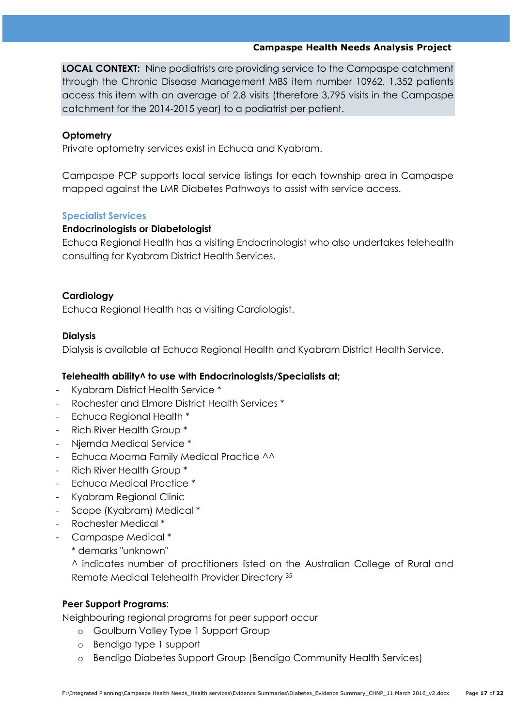**LOCAL CONTEXT:** Nine podiatrists are providing service to the Campaspe catchment through the Chronic Disease Management MBS item number 10962. 1,352 patients access this item with an average of 2.8 visits (therefore 3,795 visits in the Campaspe catchment for the 2014-2015 year) to a podiatrist per patient.

## **Optometry**

Private optometry services exist in Echuca and Kyabram.

Campaspe PCP supports local service listings for each township area in Campaspe mapped against the LMR Diabetes Pathways to assist with service access.

## **Specialist Services**

## **Endocrinologists or Diabetologist**

Echuca Regional Health has a visiting Endocrinologist who also undertakes telehealth consulting for Kyabram District Health Services.

## **Cardiology**

Echuca Regional Health has a visiting Cardiologist.

## **Dialysis**

Dialysis is available at Echuca Regional Health and Kyabram District Health Service.

## **Telehealth ability^ to use with Endocrinologists/Specialists at;**

- Kyabram District Health Service \*
- Rochester and Elmore District Health Services \*
- Echuca Regional Health \*
- Rich River Health Group \*
- Njernda Medical Service \*
- Echuca Moama Family Medical Practice ^^
- Rich River Health Group \*
- Echuca Medical Practice \*
- Kyabram Regional Clinic
- Scope (Kyabram) Medical \*
- Rochester Medical \*
- Campaspe Medical \*
	- \* demarks "unknown"

^ indicates number of practitioners listed on the Australian College of Rural and Remote Medical Telehealth Provider Directory <sup>35</sup>

## **Peer Support Programs**:

Neighbouring regional programs for peer support occur

- o Goulburn Valley Type 1 Support Group
- o Bendigo type 1 support
- o Bendigo Diabetes Support Group (Bendigo Community Health Services)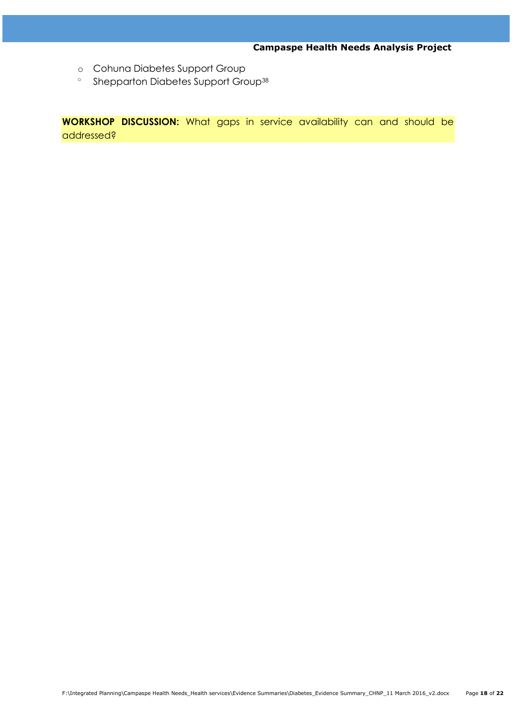- o Cohuna Diabetes Support Group
- o Shepparton Diabetes Support Group<sup>38</sup>

**WORKSHOP DISCUSSION:** What gaps in service availability can and should be addressed?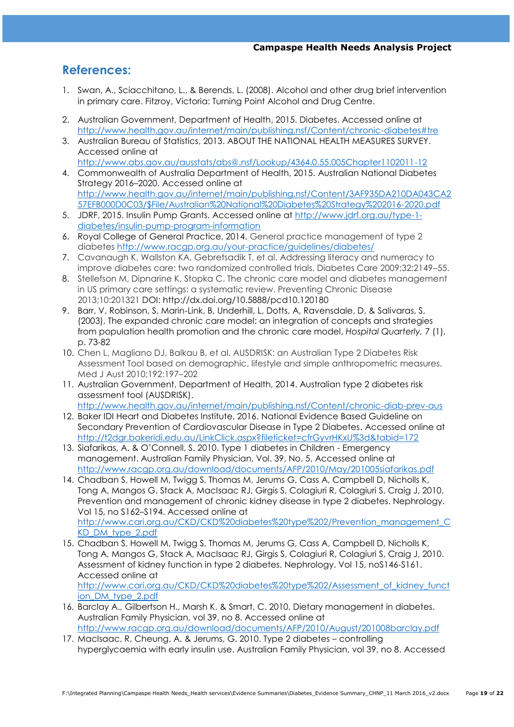# **References:**

- 1. Swan, A., Sciacchitano, L., & Berends, L. (2008). Alcohol and other drug brief intervention in primary care. Fitzroy, Victoria: Turning Point Alcohol and Drug Centre.
- 2. Australian Government, Department of Health, 2015. Diabetes. Accessed online at <http://www.health.gov.au/internet/main/publishing.nsf/Content/chronic-diabetes#tre>
- 3. Australian Bureau of Statistics, 2013. ABOUT THE NATIONAL HEALTH MEASURES SURVEY. Accessed online at <http://www.abs.gov.au/ausstats/abs@.nsf/Lookup/4364.0.55.005Chapter1102011-12>
- 4. Commonwealth of Australia Department of Health, 2015. Australian National Diabetes Strategy 2016–2020. Accessed online at [http://www.health.gov.au/internet/main/publishing.nsf/Content/3AF935DA210DA043CA2](http://www.health.gov.au/internet/main/publishing.nsf/Content/3AF935DA210DA043CA257EFB000D0C03/$File/Australian%20National%20Diabetes%20Strategy%202016-2020.pdf) [57EFB000D0C03/\\$File/Australian%20National%20Diabetes%20Strategy%202016-2020.pdf](http://www.health.gov.au/internet/main/publishing.nsf/Content/3AF935DA210DA043CA257EFB000D0C03/$File/Australian%20National%20Diabetes%20Strategy%202016-2020.pdf)
- 5. JDRF, 2015. Insulin Pump Grants. Accessed online at [http://www.jdrf.org.au/type-1](http://www.jdrf.org.au/type-1-diabetes/insulin-pump-program-information) [diabetes/insulin-pump-program-information](http://www.jdrf.org.au/type-1-diabetes/insulin-pump-program-information)
- 6. Royal College of General Practice, 2014. General practice management of type 2 diabetes <http://www.racgp.org.au/your-practice/guidelines/diabetes/>
- 7. Cavanaugh K, Wallston KA, Gebretsadik T, et al. Addressing literacy and numeracy to improve diabetes care: two randomized controlled trials. Diabetes Care 2009;32:2149–55.
- 8. Stellefson M, Dipnarine K, Stopka C. The chronic care model and diabetes management in US primary care settings: a systematic review. Preventing Chronic Disease 2013;10:201321 DOI:<http://dx.doi.org/10.5888/pcd10.120180>
- 9. Barr, V, Robinson, S, Marin-Link, B, Underhill, L, Dotts, A, Ravensdale, D, & Salivaras, S, (2003), The expanded chronic care model: an integration of concepts and strategies from population health promotion and the chronic care model, *Hospital Quarterly,* 7 (1), p. 73-82
- 10. Chen L, Magliano DJ, Balkau B, et al. AUSDRISK: an Australian Type 2 Diabetes Risk Assessment Tool based on demographic, lifestyle and simple anthropometric measures. Med J Aust 2010;192:197–202
- 11. Australian Government, Department of Health, 2014. Australian type 2 diabetes risk assessment tool (AUSDRISK).

<http://www.health.gov.au/internet/main/publishing.nsf/Content/chronic-diab-prev-aus>

- 12. Baker IDI Heart and Diabetes Institute, 2016. [National Evidence Based Guideline on](https://www.clinicalguidelines.gov.au/portal/2502/national-evidence-based-guideline-secondary-prevention-cardiovascular-disease-type-2)  [Secondary Prevention of Cardiovascular Disease in Type 2 Diabetes.](https://www.clinicalguidelines.gov.au/portal/2502/national-evidence-based-guideline-secondary-prevention-cardiovascular-disease-type-2) Accessed online at <http://t2dgr.bakeridi.edu.au/LinkClick.aspx?fileticket=cfrGyvrHKxU%3d&tabid=172>
- 13. Siafarikas, A. & O"Connell, S. 2010. Type 1 diabetes in Children Emergency management. Australian Family Physician, Vol. 39, No. 5, Accessed online at <http://www.racgp.org.au/download/documents/AFP/2010/May/201005siafarikas.pdf>
- 14. Chadban S, Howell M, Twigg S, Thomas M, Jerums G, Cass A, Campbell D, Nicholls K, Tong A, Mangos G, Stack A, MacIsaac RJ, Girgis S, Colagiuri R, Colagiuri S, Craig J, 2010. Prevention and management of chronic kidney disease in type 2 diabetes. Nephrology. Vol 15, no S162–S194. Accessed online at [http://www.cari.org.au/CKD/CKD%20diabetes%20type%202/Prevention\\_management\\_C](http://www.cari.org.au/CKD/CKD%20diabetes%20type%202/Prevention_management_CKD_DM_type_2.pdf) [KD\\_DM\\_type\\_2.pdf](http://www.cari.org.au/CKD/CKD%20diabetes%20type%202/Prevention_management_CKD_DM_type_2.pdf)
- 15. Chadban S, Howell M, Twigg S, Thomas M, Jerums G, Cass A, Campbell D, Nicholls K, Tong A, Mangos G, Stack A, MacIsaac RJ, Girgis S, Colagiuri R, Colagiuri S, Craig J, 2010. Assessment of kidney function in type 2 diabetes. Nephrology. Vol 15, noS146-S161. Accessed online at [http://www.cari.org.au/CKD/CKD%20diabetes%20type%202/Assessment\\_of\\_kidney\\_funct](http://www.cari.org.au/CKD/CKD%20diabetes%20type%202/Assessment_of_kidney_function_DM_type_2.pdf) [ion\\_DM\\_type\\_2.pdf](http://www.cari.org.au/CKD/CKD%20diabetes%20type%202/Assessment_of_kidney_function_DM_type_2.pdf)
- 16. Barclay A., Gilbertson H., Marsh K. & Smart, C. 2010. Dietary management in diabetes. Australian Family Physician, vol 39, no 8. Accessed online at <http://www.racgp.org.au/download/documents/AFP/2010/August/201008barclay.pdf>
- 17. MacIsaac, R, Cheung, A. & Jerums, G. 2010. Type 2 diabetes controlling hyperglycaemia with early insulin use. Australian Family Physician, vol 39, no 8. Accessed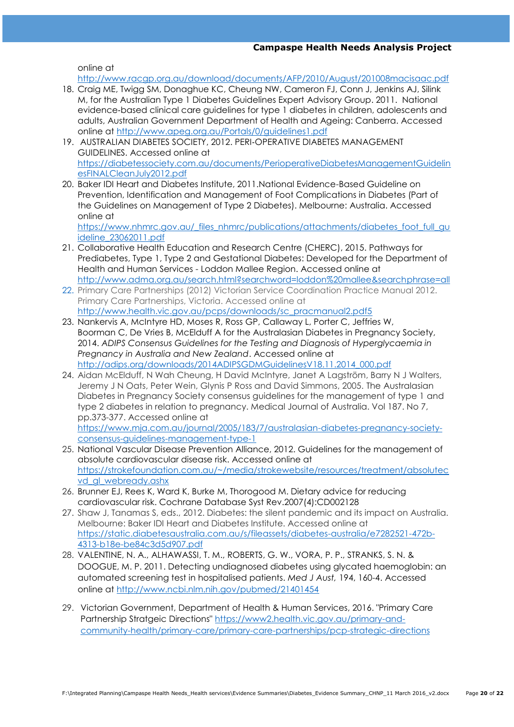online at

<http://www.racgp.org.au/download/documents/AFP/2010/August/201008macisaac.pdf>

- 18. Craig ME, Twigg SM, Donaghue KC, Cheung NW, Cameron FJ, Conn J, Jenkins AJ, Silink M, for the Australian Type 1 Diabetes Guidelines Expert Advisory Group. 2011. National evidence‐based clinical care guidelines for type 1 diabetes in children, adolescents and adults, Australian Government Department of Health and Ageing: Canberra. Accessed online at<http://www.apeg.org.au/Portals/0/guidelines1.pdf>
- 19. AUSTRALIAN DIABETES SOCIETY, 2012. PERI‐OPERATIVE DIABETES MANAGEMENT GUIDELINES. Accessed online at [https://diabetessociety.com.au/documents/PerioperativeDiabetesManagementGuidelin](https://diabetessociety.com.au/documents/PerioperativeDiabetesManagementGuidelinesFINALCleanJuly2012.pdf) [esFINALCleanJuly2012.pdf](https://diabetessociety.com.au/documents/PerioperativeDiabetesManagementGuidelinesFINALCleanJuly2012.pdf)
- 20. Baker IDI Heart and Diabetes Institute, 2011.National Evidence-Based Guideline on Prevention, Identification and Management of Foot Complications in Diabetes (Part of the Guidelines on Management of Type 2 Diabetes). Melbourne: Australia. Accessed online at

[https://www.nhmrc.gov.au/\\_files\\_nhmrc/publications/attachments/diabetes\\_foot\\_full\\_gu](https://www.nhmrc.gov.au/_files_nhmrc/publications/attachments/diabetes_foot_full_guideline_23062011.pdf) [ideline\\_23062011.pdf](https://www.nhmrc.gov.au/_files_nhmrc/publications/attachments/diabetes_foot_full_guideline_23062011.pdf)

- 21. Collaborative Health Education and Research Centre (CHERC), 2015. Pathways for Prediabetes, Type 1, Type 2 and Gestational Diabetes: Developed for the Department of Health and Human Services - Loddon Mallee Region. Accessed online at <http://www.adma.org.au/search.html?searchword=loddon%20mallee&searchphrase=all>
- 22. Primary Care Partnerships (2012) Victorian Service Coordination Practice Manual 2012. Primary Care Partnerships, Victoria. Accessed online at [http://www.health.vic.gov.au/pcps/downloads/sc\\_pracmanual2.pdf5](http://www.health.vic.gov.au/pcps/downloads/sc_pracmanual2.pdf5)
- 23. Nankervis A, McIntyre HD, Moses R, Ross GP, Callaway L, Porter C, Jeffries W, Boorman C, De Vries B, McElduff A for the Australasian Diabetes in Pregnancy Society, 2014. *ADIPS Consensus Guidelines for the Testing and Diagnosis of Hyperglycaemia in Pregnancy in Australia and New Zealand*. Accessed online at [http://adips.org/downloads/2014ADIPSGDMGuidelinesV18.11.2014\\_000.pdf](http://adips.org/downloads/2014ADIPSGDMGuidelinesV18.11.2014_000.pdf)
- 24. Aidan McElduff, N Wah Cheung, H David McIntyre, Janet A Lagström, Barry N J Walters, Jeremy J N Oats, Peter Wein, Glynis P Ross and David Simmons, 2005. The Australasian Diabetes in Pregnancy Society consensus guidelines for the management of type 1 and type 2 diabetes in relation to pregnancy. Medical Journal of Australia. Vol 187. No 7, pp.373-377. Accessed online at [https://www.mja.com.au/journal/2005/183/7/australasian-diabetes-pregnancy-society-](https://www.mja.com.au/journal/2005/183/7/australasian-diabetes-pregnancy-society-consensus-guidelines-management-type-1)

[consensus-guidelines-management-type-1](https://www.mja.com.au/journal/2005/183/7/australasian-diabetes-pregnancy-society-consensus-guidelines-management-type-1)

- 25. National Vascular Disease Prevention Alliance, 2012. Guidelines for the management of absolute cardiovascular disease risk. Accessed online at [https://strokefoundation.com.au/~/media/strokewebsite/resources/treatment/absolutec](https://strokefoundation.com.au/~/media/strokewebsite/resources/treatment/absolutecvd_gl_webready.ashx) vd gl webready.ashx
- 26. Brunner EJ, Rees K, Ward K, Burke M, Thorogood M. Dietary advice for reducing cardiovascular risk. Cochrane Database Syst Rev.2007(4):CD002128
- 27. Shaw J, Tanamas S, eds., 2012. Diabetes: the silent pandemic and its impact on Australia. Melbourne: Baker IDI Heart and Diabetes Institute. Accessed online at [https://static.diabetesaustralia.com.au/s/fileassets/diabetes-australia/e7282521-472b-](https://static.diabetesaustralia.com.au/s/fileassets/diabetes-australia/e7282521-472b-4313-b18e-be84c3d5d907.pdf)[4313-b18e-be84c3d5d907.pdf](https://static.diabetesaustralia.com.au/s/fileassets/diabetes-australia/e7282521-472b-4313-b18e-be84c3d5d907.pdf)
- 28. VALENTINE, N. A., ALHAWASSI, T. M., ROBERTS, G. W., VORA, P. P., STRANKS, S. N. & DOOGUE, M. P. 2011. Detecting undiagnosed diabetes using glycated haemoglobin: an automated screening test in hospitalised patients. *Med J Aust,* 194, 160-4. Accessed online at<http://www.ncbi.nlm.nih.gov/pubmed/21401454>
- 29. Victorian Government, Department of Health & Human Services, 2016. "Primary Care Partnership Stratgeic Directions" [https://www2.health.vic.gov.au/primary-and](https://www2.health.vic.gov.au/primary-and-community-health/primary-care/primary-care-partnerships/pcp-strategic-directions)[community-health/primary-care/primary-care-partnerships/pcp-strategic-directions](https://www2.health.vic.gov.au/primary-and-community-health/primary-care/primary-care-partnerships/pcp-strategic-directions)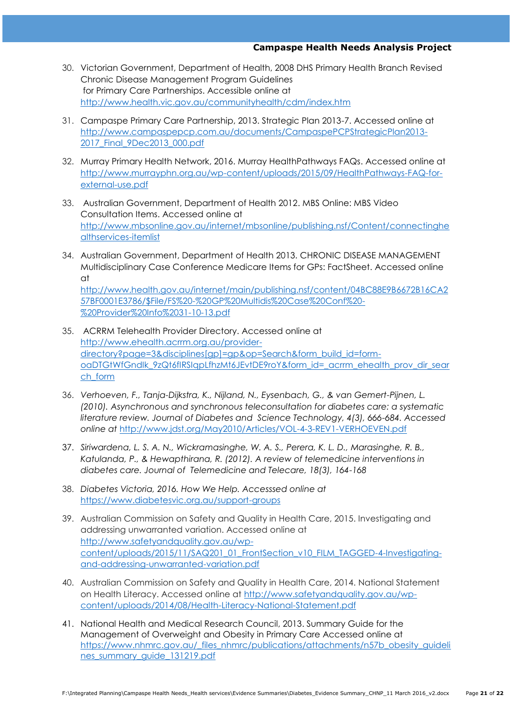- 30. Victorian Government, Department of Health, 2008 DHS Primary Health Branch Revised Chronic Disease Management Program Guidelines for Primary Care Partnerships. Accessible online at <http://www.health.vic.gov.au/communityhealth/cdm/index.htm>
- 31. Campaspe Primary Care Partnership, 2013. Strategic Plan 2013-7. Accessed online at [http://www.campaspepcp.com.au/documents/CampaspePCPStrategicPlan2013-](http://www.campaspepcp.com.au/documents/CampaspePCPStrategicPlan2013-2017_Final_9Dec2013_000.pdf) [2017\\_Final\\_9Dec2013\\_000.pdf](http://www.campaspepcp.com.au/documents/CampaspePCPStrategicPlan2013-2017_Final_9Dec2013_000.pdf)
- 32. Murray Primary Health Network, 2016. Murray HealthPathways FAQs. Accessed online at [http://www.murrayphn.org.au/wp-content/uploads/2015/09/HealthPathways-FAQ-for](http://www.murrayphn.org.au/wp-content/uploads/2015/09/HealthPathways-FAQ-for-external-use.pdf)[external-use.pdf](http://www.murrayphn.org.au/wp-content/uploads/2015/09/HealthPathways-FAQ-for-external-use.pdf)
- 33. Australian Government, Department of Health 2012. MBS Online: MBS Video Consultation Items. Accessed online at [http://www.mbsonline.gov.au/internet/mbsonline/publishing.nsf/Content/connectinghe](http://www.mbsonline.gov.au/internet/mbsonline/publishing.nsf/Content/connectinghealthservices-itemlist) [althservices-itemlist](http://www.mbsonline.gov.au/internet/mbsonline/publishing.nsf/Content/connectinghealthservices-itemlist)
- 34. Australian Government, Department of Health 2013. CHRONIC DISEASE MANAGEMENT Multidisciplinary Case Conference Medicare Items for GPs: FactSheet. Accessed online at

[http://www.health.gov.au/internet/main/publishing.nsf/content/04BC88E9B6672B16CA2](http://www.health.gov.au/internet/main/publishing.nsf/content/04BC88E9B6672B16CA257BF0001E3786/$File/FS%20-%20GP%20Multidis%20Case%20Conf%20-%20Provider%20Info%2031-10-13.pdf) [57BF0001E3786/\\$File/FS%20-%20GP%20Multidis%20Case%20Conf%20-](http://www.health.gov.au/internet/main/publishing.nsf/content/04BC88E9B6672B16CA257BF0001E3786/$File/FS%20-%20GP%20Multidis%20Case%20Conf%20-%20Provider%20Info%2031-10-13.pdf) [%20Provider%20Info%2031-10-13.pdf](http://www.health.gov.au/internet/main/publishing.nsf/content/04BC88E9B6672B16CA257BF0001E3786/$File/FS%20-%20GP%20Multidis%20Case%20Conf%20-%20Provider%20Info%2031-10-13.pdf)

- 35. ACRRM Telehealth Provider Directory. Accessed online at [http://www.ehealth.acrrm.org.au/provider](http://www.ehealth.acrrm.org.au/provider-directory?page=3&disciplines%5bgp%5d=gp&op=Search&form_build_id=form-oaDTGtWfGndIk_9zQt6fIRSIqpLfhzMt6JEvtDE9roY&form_id=_acrrm_ehealth_prov_dir_search_form)[directory?page=3&disciplines\[gp\]=gp&op=Search&form\\_build\\_id=form](http://www.ehealth.acrrm.org.au/provider-directory?page=3&disciplines%5bgp%5d=gp&op=Search&form_build_id=form-oaDTGtWfGndIk_9zQt6fIRSIqpLfhzMt6JEvtDE9roY&form_id=_acrrm_ehealth_prov_dir_search_form)oaDTGtWfGndlk 9zQt6fIRSIqpLfhzMt6JEvtDE9roY&form\_id=\_acrrm\_ehealth\_prov\_dir\_sear [ch\\_form](http://www.ehealth.acrrm.org.au/provider-directory?page=3&disciplines%5bgp%5d=gp&op=Search&form_build_id=form-oaDTGtWfGndIk_9zQt6fIRSIqpLfhzMt6JEvtDE9roY&form_id=_acrrm_ehealth_prov_dir_search_form)
- 36. *Verhoeven, F., Tanja-Dijkstra, K., Nijland, N., Eysenbach, G., & van Gemert-Pijnen, L. (2010). Asynchronous and synchronous teleconsultation for diabetes care: a systematic literature review. Journal of Diabetes and Science Technology, 4(3), 666-684. Accessed online at* <http://www.jdst.org/May2010/Articles/VOL-4-3-REV1-VERHOEVEN.pdf>
- 37. *Siriwardena, L. S. A. N., Wickramasinghe, W. A. S., Perera, K. L. D., Marasinghe, R. B., Katulanda, P., & Hewapthirana, R. (2012). A review of telemedicine interventions in diabetes care. Journal of Telemedicine and Telecare, 18(3), 164-168*
- 38. *Diabetes Victoria, 2016. How We Help. Accesssed online at*  <https://www.diabetesvic.org.au/support-groups>
- 39. Australian Commission on Safety and Quality in Health Care, 2015. Investigating and addressing unwarranted variation. Accessed online at [http://www.safetyandquality.gov.au/wp](http://www.safetyandquality.gov.au/wp-content/uploads/2015/11/SAQ201_01_FrontSection_v10_FILM_TAGGED-4-Investigating-and-addressing-unwarranted-variation.pdf)[content/uploads/2015/11/SAQ201\\_01\\_FrontSection\\_v10\\_FILM\\_TAGGED-4-Investigating](http://www.safetyandquality.gov.au/wp-content/uploads/2015/11/SAQ201_01_FrontSection_v10_FILM_TAGGED-4-Investigating-and-addressing-unwarranted-variation.pdf)[and-addressing-unwarranted-variation.pdf](http://www.safetyandquality.gov.au/wp-content/uploads/2015/11/SAQ201_01_FrontSection_v10_FILM_TAGGED-4-Investigating-and-addressing-unwarranted-variation.pdf)
- 40. Australian Commission on Safety and Quality in Health Care, 2014. National Statement on Health Literacy. Accessed online at [http://www.safetyandquality.gov.au/wp](http://www.safetyandquality.gov.au/wp-content/uploads/2014/08/Health-Literacy-National-Statement.pdf)[content/uploads/2014/08/Health-Literacy-National-Statement.pdf](http://www.safetyandquality.gov.au/wp-content/uploads/2014/08/Health-Literacy-National-Statement.pdf)
- 41. National Health and Medical Research Council, 2013. Summary Guide for the Management of Overweight and Obesity in Primary Care Accessed online at [https://www.nhmrc.gov.au/\\_files\\_nhmrc/publications/attachments/n57b\\_obesity\\_guideli](https://www.nhmrc.gov.au/_files_nhmrc/publications/attachments/n57b_obesity_guidelines_summary_guide_131219.pdf) nes summary guide 131219.pdf